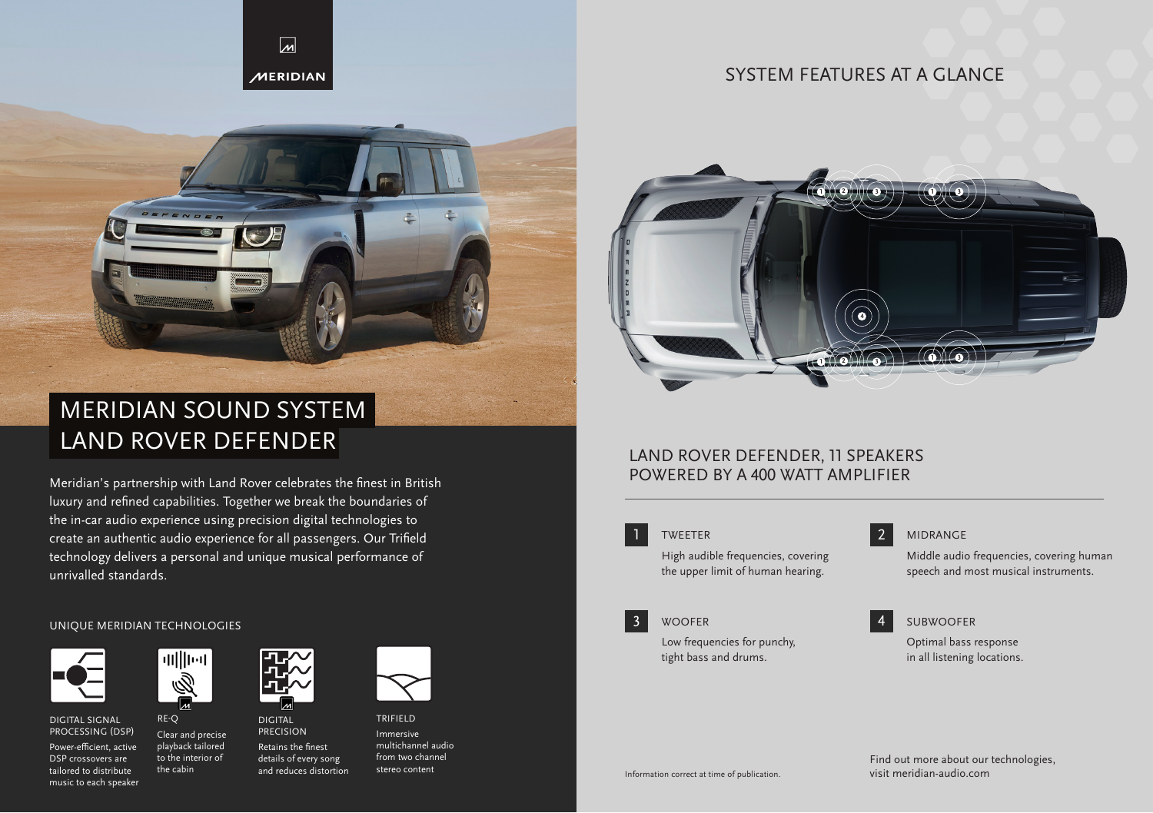

## SYSTEM FEATURES AT A GLANCE



# LAND ROVER DEFENDER MERIDIAN SOUND SYSTEM

Meridian's partnership with Land Rover celebrates the finest in British luxury and refined capabilities. Together we break the boundaries of the in-car audio experience using precision digital technologies to create an authentic audio experience for all passengers. Our Trifield technology delivers a personal and unique musical performance of unrivalled standards.

### UNIQUE MERIDIAN TECHNOLOGIES



DIGITAL SIGNAL PROCESSING (DSP) Power-efficient, active DSP crossovers are tailored to distribute

music to each speaker



RE-Q

the cabin





TRIFIELD Immersive multichannel audio from two channel stereo content



## LAND ROVER DEFENDER, 11 SPEAKERS POWERED BY A 400 WATT AMPLIFIER



### TWEETER 2

High audible frequencies, covering the upper limit of human hearing.

### **WOOFER**

3

Low frequencies for punchy, tight bass and drums.



Middle audio frequencies, covering human speech and most musical instruments.

## SUBWOOFER

Optimal bass response in all listening locations.

Information correct at time of publication.

Find out more about our technologies, visit meridian-audio.com